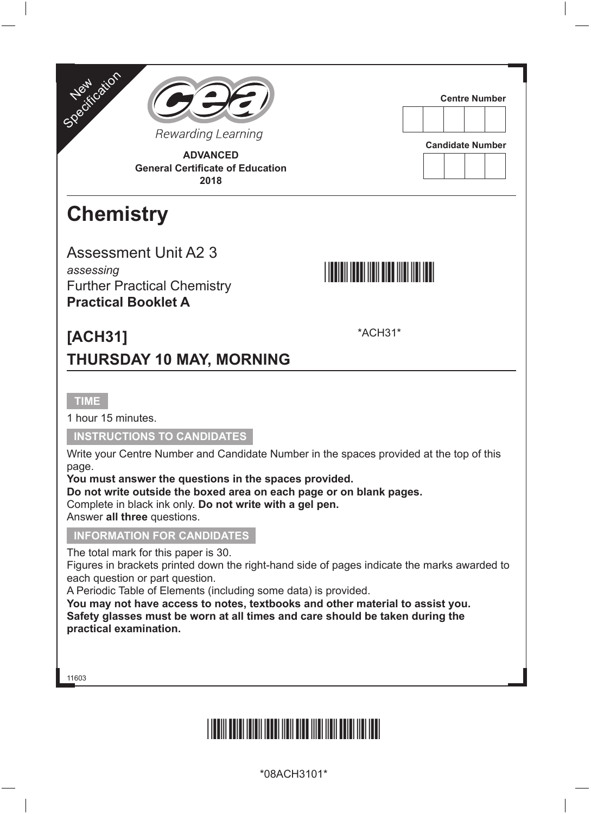





**ADVANCED General Certificate of Education 2018**

# **Chemistry**

Assessment Unit A2 3 *assessing* Further Practical Chemistry **Practical Booklet A**

## \*ACH31\*

\*ACH31\*

## **[ACH31] Thursday 10 may, morning**

### **TIME**

1 hour 15 minutes.

**INSTRUCTIONS TO CANDIDATES**

Write your Centre Number and Candidate Number in the spaces provided at the top of this page.

**You must answer the questions in the spaces provided.** 

**Do not write outside the boxed area on each page or on blank pages.**  Complete in black ink only. **Do not write with a gel pen.**

Answer **all three** questions.

### **INFORMATION FOR CANDIDATES**

The total mark for this paper is 30.

Figures in brackets printed down the right-hand side of pages indicate the marks awarded to each question or part question.

A Periodic Table of Elements (including some data) is provided.

**You may not have access to notes, textbooks and other material to assist you. Safety glasses must be worn at all times and care should be taken during the practical examination.**

11603



\*08ACH3101\*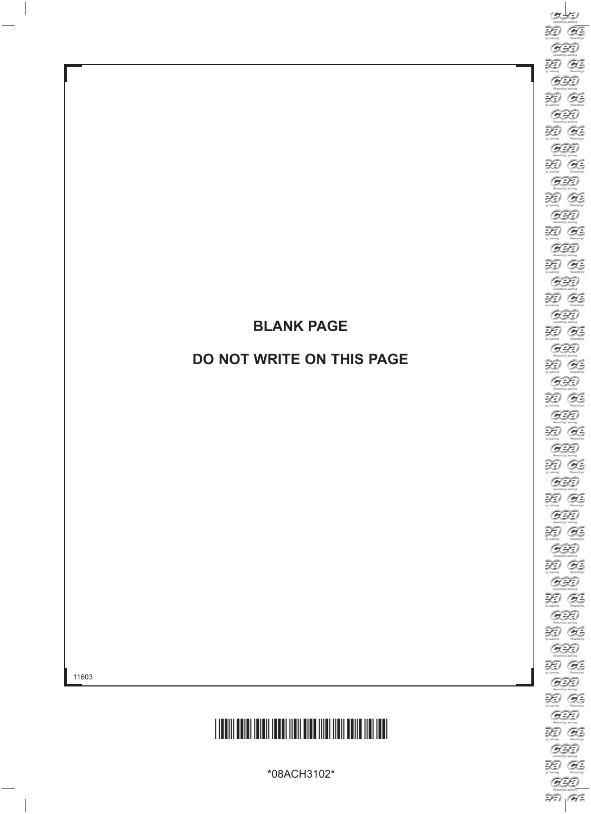## **BLANK PAGE**

### **DO NOT WRITE ON THIS PAGE**



\*08ACH3102\*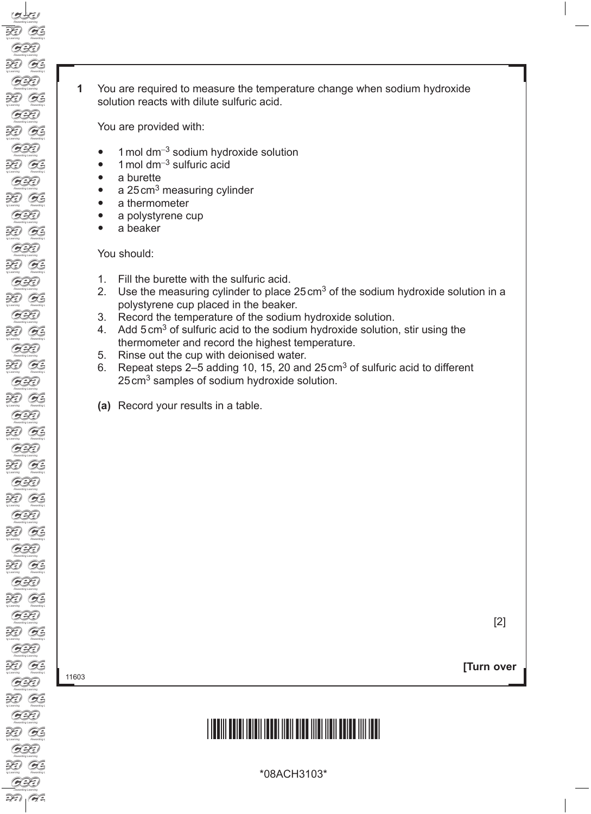**1** You are required to measure the temperature change when sodium hydroxide solution reacts with dilute sulfuric acid.

You are provided with:

- 1mol dm<sup>−</sup>3 sodium hydroxide solution
- 1mol dm<sup>−</sup>3 sulfuric acid
- a burette
- $\bullet$  a 25 cm<sup>3</sup> measuring cylinder
- a thermometer
- a polystyrene cup
- a beaker

You should:

- 1. Fill the burette with the sulfuric acid.
- 2. Use the measuring cylinder to place  $25 \text{ cm}^3$  of the sodium hydroxide solution in a polystyrene cup placed in the beaker.
- 3. Record the temperature of the sodium hydroxide solution.
- 4. Add 5 cm<sup>3</sup> of sulfuric acid to the sodium hydroxide solution, stir using the thermometer and record the highest temperature.
- 5. Rinse out the cup with deionised water.
- 6. Repeat steps  $2-5$  adding 10, 15, 20 and  $25 \text{ cm}^3$  of sulfuric acid to different 25cm3 samples of sodium hydroxide solution.
- **(a)** Record your results in a table.

[2]

11603

**[Turn over**

## <u>\*18ACH3103 \*18ACH3103 \*18ACH3103 \*18ACH3103 \*18ACH3103 \*18ACH3103 \*18ACH3103 \*18ACH3103 \*18ACH3103 \*18ACH3103 </u>

\*08ACH3103\*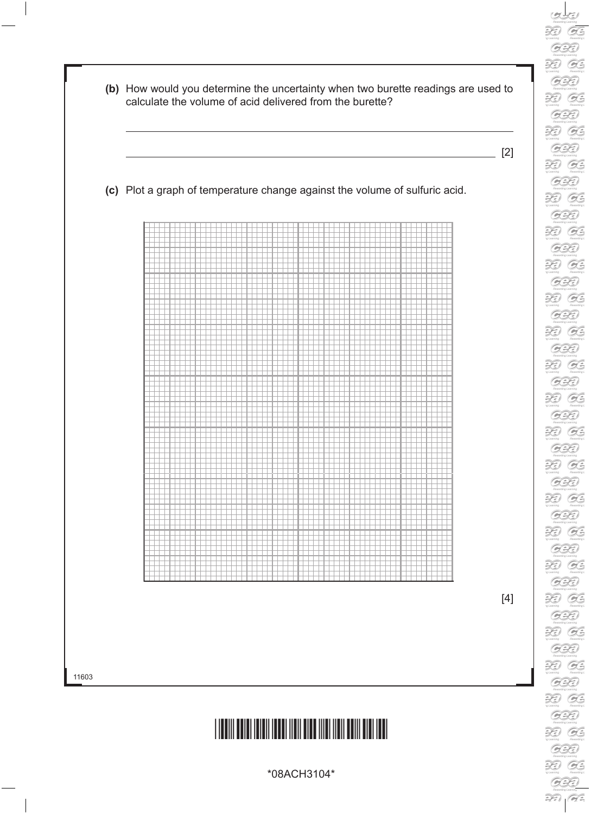| Q               |
|-----------------|
| O,              |
|                 |
| ĵ<br>)          |
| l               |
| $\supsetneq$    |
|                 |
| l<br>d          |
| $\supsetneq$    |
| C               |
|                 |
| $\mathbb{R}$    |
| l<br>ó          |
| $\mathbb{R}$    |
|                 |
| l<br>ó          |
| $\mathbb{R}$    |
| l<br>ó          |
|                 |
|                 |
| l               |
| ĵ<br>Ì          |
|                 |
| l               |
| Ē<br>ļ          |
|                 |
| l               |
| Ì<br>Ÿ,         |
| C<br>4          |
| ij              |
| Ē               |
| l<br>$\epsilon$ |
| ŷ<br>Ÿ          |
|                 |
| Q<br>ó          |
| $\supseteq$     |
| Q               |
|                 |
| $\supsetneq$    |
| C               |
| $\mathbb{R}$    |
|                 |
| l               |
| $\supsetneq$    |
| C               |
|                 |
| $\supsetneq$    |
| Q<br>4          |
| $\supsetneq$    |
|                 |
| ¢<br>۰          |
| $\mathbb{R}$    |
|                 |
| Q<br>ó          |
| $\mathbb{R}$    |
| ø               |
|                 |
| $\supsetneq$    |
| l<br>`d         |
|                 |

\*08ACH3104\* 11603 **(b)** How would you determine the uncertainty when two burette readings are used to calculate the volume of acid delivered from the burette? [2] **(c)** Plot a graph of temperature change against the volume of sulfuric acid. [4]

\*08ACH3104\*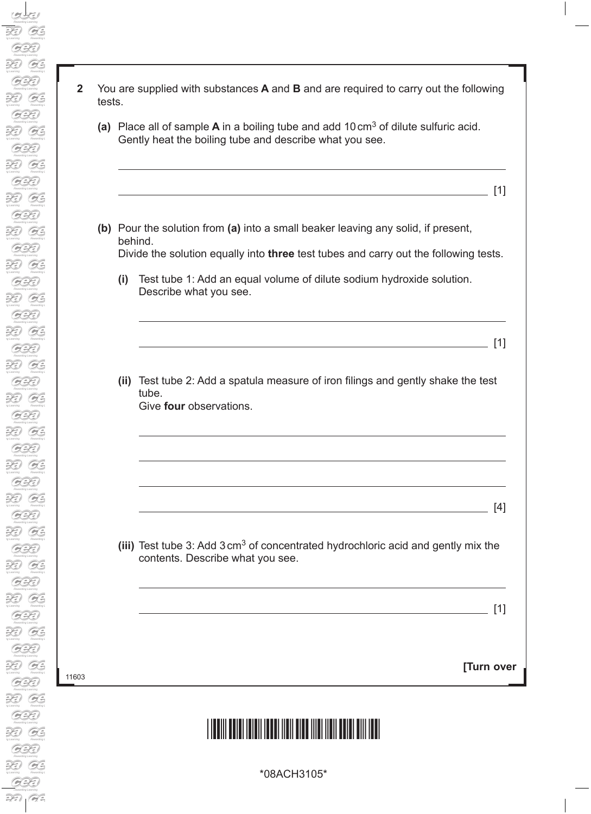| You are supplied with substances $A$ and $B$ and are required to carry out the following |
|------------------------------------------------------------------------------------------|
| tests.                                                                                   |

- **(a)** Place all of sample **A** in a boiling tube and add 10cm3 of dilute sulfuric acid. Gently heat the boiling tube and describe what you see.
- **(b)** Pour the solution from **(a)** into a small beaker leaving any solid, if present, behind.

Divide the solution equally into **three** test tubes and carry out the following tests.

 **(i)** Test tube 1: Add an equal volume of dilute sodium hydroxide solution. Describe what you see.

 **(ii)** Test tube 2: Add a spatula measure of iron filings and gently shake the test tube. Give **four** observations.

- **(iii)** Test tube 3: Add 3 cm<sup>3</sup> of concentrated hydrochloric acid and gently mix the contents. Describe what you see.
	- <u>[1]</u>

[1]

<u>[1]</u> [1] **[1]** 

<u>[4]</u>

**[Turn over**

# \*1105111 THE TELEVISION OF THE THEFT IN THE TELEVISION OF THE TELEVISION OF THE TELEVISION OF THE TELEVISION O

\*08ACH3105\*

11603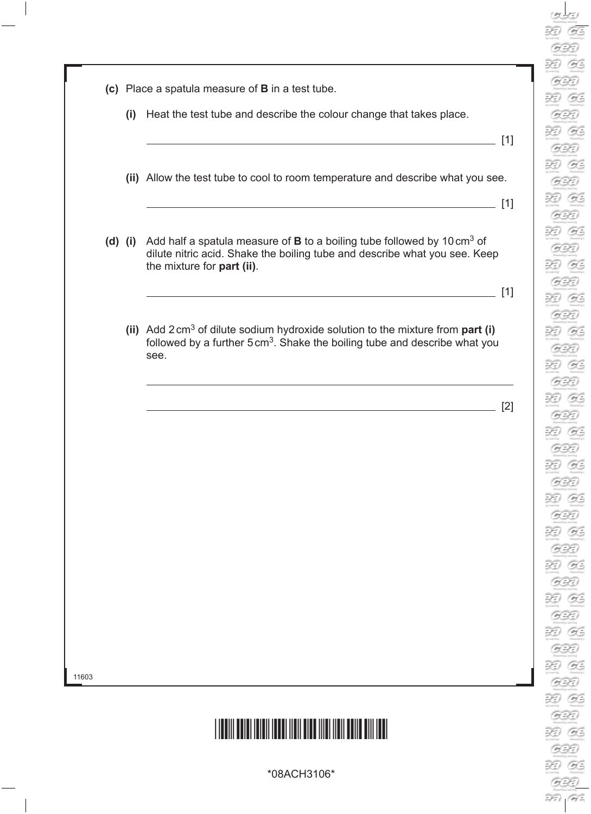

- **(i)** Heat the test tube and describe the colour change that takes place.
- $\_$  [1]

 $[1]$ 

- **(ii)** Allow the test tube to cool to room temperature and describe what you see.
- **(d) (i)** Add half a spatula measure of **B** to a boiling tube followed by 10cm3 of dilute nitric acid. Shake the boiling tube and describe what you see. Keep the mixture for **part (ii)**.
	- $[1]$
	- **(ii)** Add 2cm3 of dilute sodium hydroxide solution to the mixture from **part (i)** followed by a further  $5 \text{ cm}^3$ . Shake the boiling tube and describe what you see.

[2]

11603



\*08ACH3106\*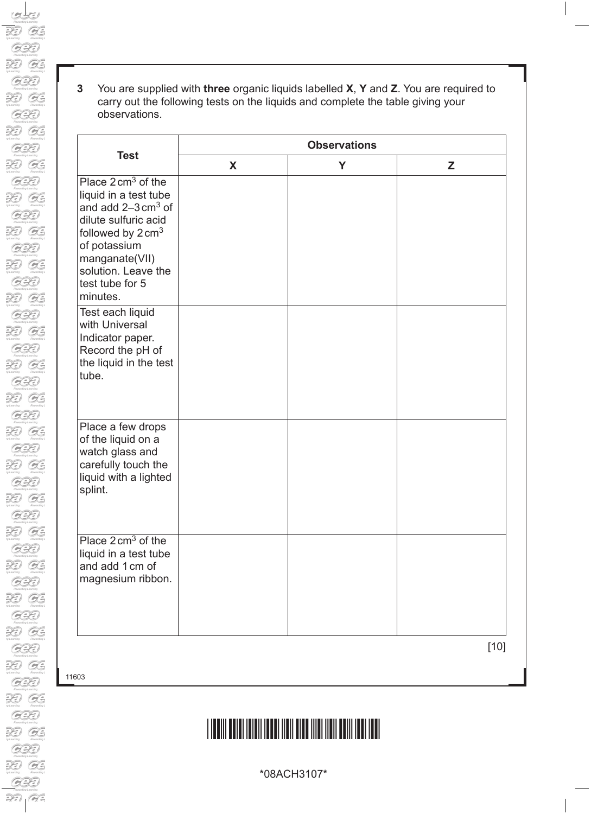**3** You are supplied with **three** organic liquids labelled **X**, **Y** and **Z**. You are required to carry out the following tests on the liquids and complete the table giving your observations.

| <b>Test</b>                                                                                                                                                                                                                             | <b>Observations</b> |   |        |  |
|-----------------------------------------------------------------------------------------------------------------------------------------------------------------------------------------------------------------------------------------|---------------------|---|--------|--|
|                                                                                                                                                                                                                                         | X                   | Y | Z      |  |
| Place $2 \text{ cm}^3$ of the<br>liquid in a test tube<br>and add $2-3 \text{ cm}^3$ of<br>dilute sulfuric acid<br>followed by $2 \text{ cm}^3$<br>of potassium<br>manganate(VII)<br>solution. Leave the<br>test tube for 5<br>minutes. |                     |   |        |  |
| Test each liquid<br>with Universal<br>Indicator paper.<br>Record the pH of<br>the liquid in the test<br>tube.                                                                                                                           |                     |   |        |  |
| Place a few drops<br>of the liquid on a<br>watch glass and<br>carefully touch the<br>liquid with a lighted<br>splint.                                                                                                                   |                     |   |        |  |
| Place 2 cm <sup>3</sup> of the<br>liquid in a test tube<br>and add 1 cm of<br>magnesium ribbon.                                                                                                                                         |                     |   | $[10]$ |  |

11603

Ŵ

# \*1108ACH3107ACH3108ACH3107ACH3107ACH3107ACH3107ACH31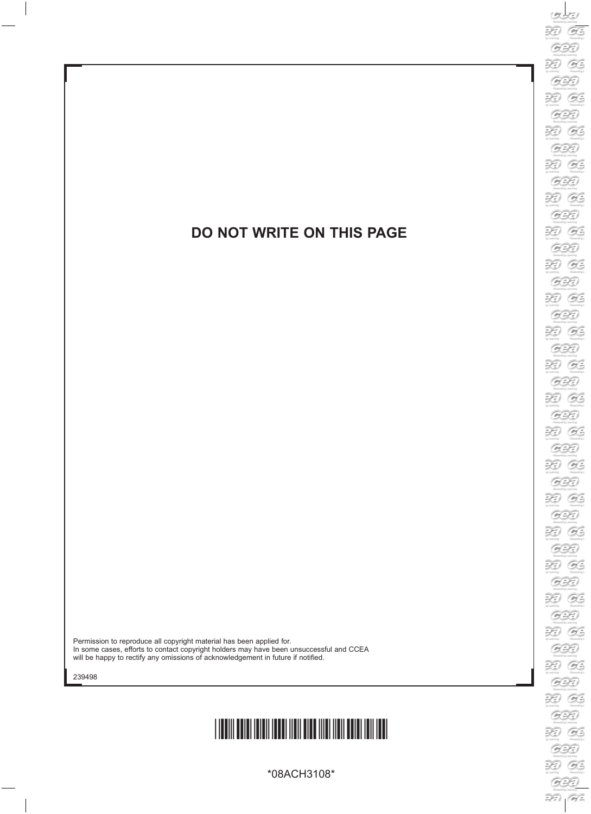### **DO NOT WRITE ON THIS PAGE**

Permission to reproduce all copyright material has been applied for. In some cases, efforts to contact copyright holders may have been unsuccessful and CCEA will be happy to rectify any omissions of acknowledgement in future if notified.

239498



\*08ACH3108\*

 $\mathscr{O}$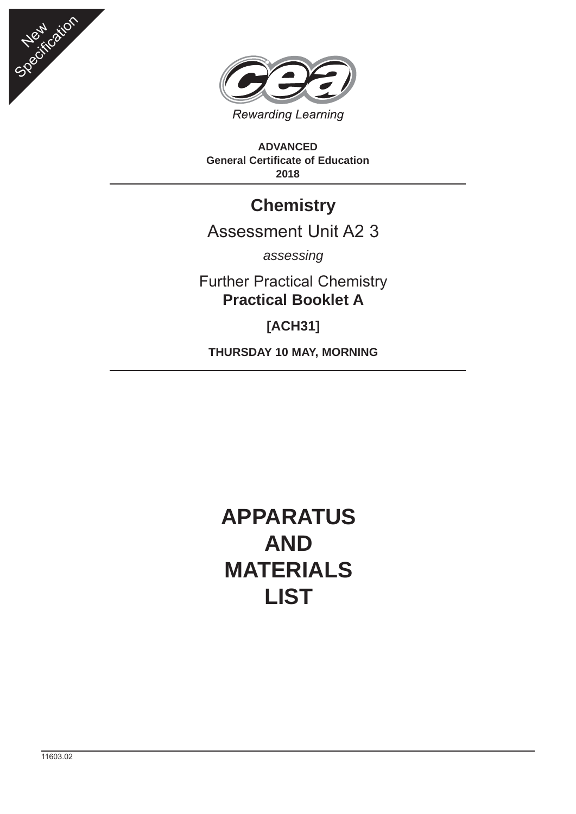



**ADVANCED General Certificate of Education 2018**

## **Chemistry**

## Assessment Unit A2 3

*assessing*

Further Practical Chemistry **Practical Booklet A**

**[ACH31]**

**THURSDAY 10 MAY, MORNING**

# **APPARATUS AND MATERIALS LIST**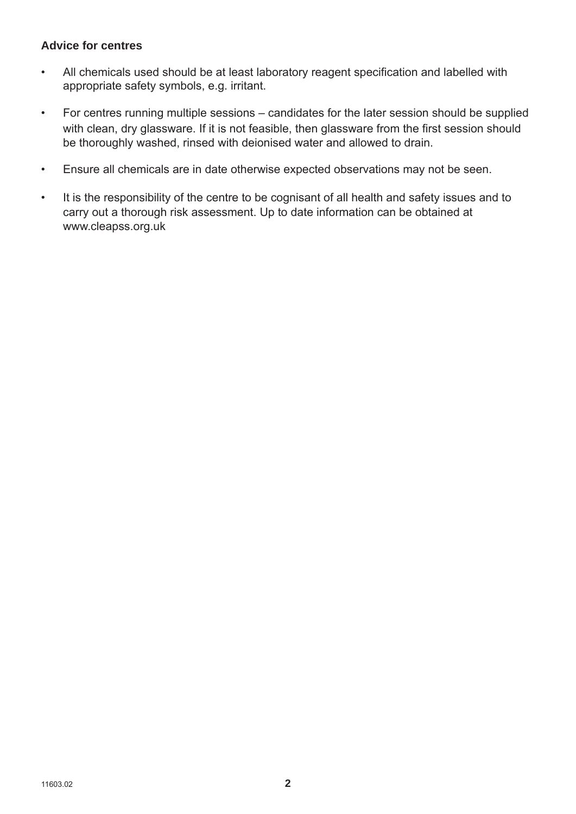#### **Advice for centres**

- All chemicals used should be at least laboratory reagent specification and labelled with appropriate safety symbols, e.g. irritant.
- For centres running multiple sessions candidates for the later session should be supplied with clean, dry glassware. If it is not feasible, then glassware from the first session should be thoroughly washed, rinsed with deionised water and allowed to drain.
- Ensure all chemicals are in date otherwise expected observations may not be seen.
- It is the responsibility of the centre to be cognisant of all health and safety issues and to carry out a thorough risk assessment. Up to date information can be obtained at www.cleapss.org.uk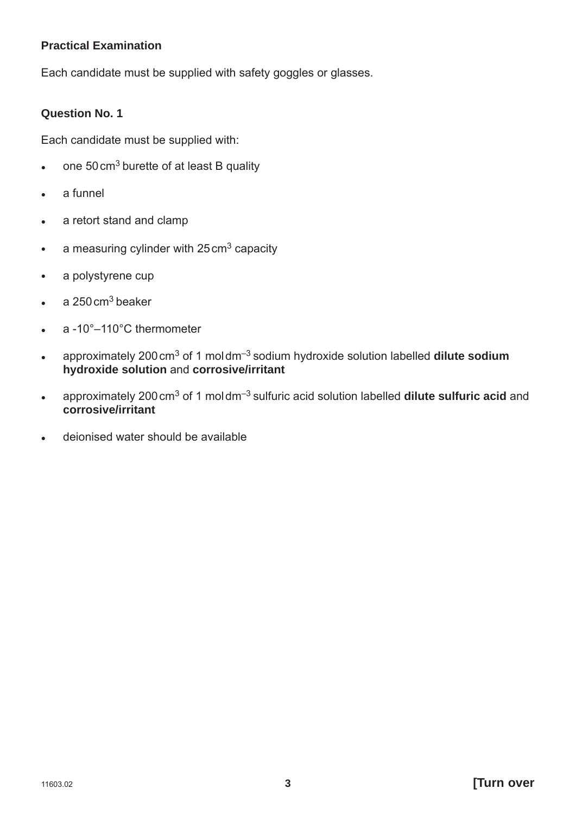### **Practical Examination**

Each candidate must be supplied with safety goggles or glasses.

#### **Question No. 1**

Each candidate must be supplied with:

- $\bullet$  one 50 cm<sup>3</sup> burette of at least B quality
- $\bullet$  a funnel
- a retort stand and clamp
- a measuring cylinder with  $25 \text{ cm}^3$  capacity
- a polystyrene cup
- $\cdot$  a 250 cm<sup>3</sup> beaker
- $\bullet$  a -10°–110°C thermometer
- approximately 200 cm3 of 1 mol dm–3 sodium hydroxide solution labelled **dilute sodium hydroxide solution** and **corrosive/irritant**
- approximately 200 cm3 of 1 mol dm–3 sulfuric acid solution labelled **dilute sulfuric acid** and **corrosive/irritant**
- deionised water should be available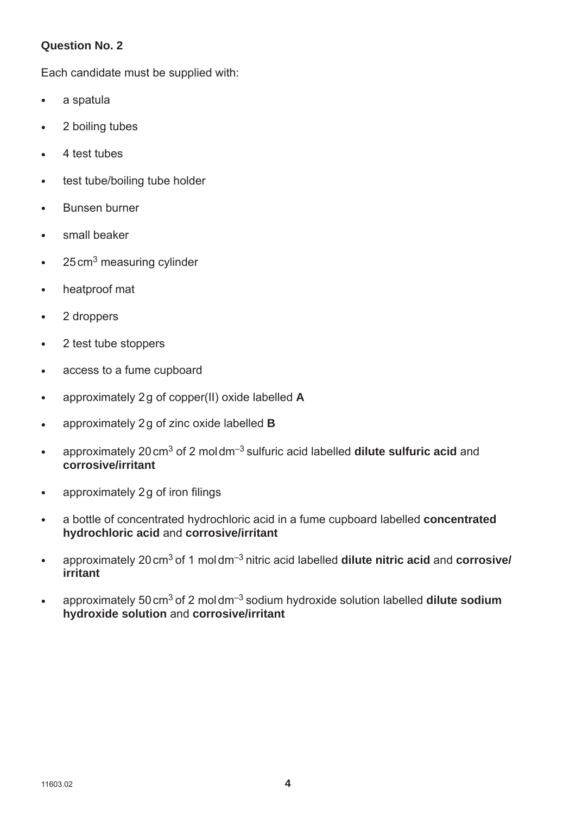#### **Question No. 2**

Each candidate must be supplied with:

- a spatula
- 2 boiling tubes
- $\cdot$  4 test tubes
- test tube/boiling tube holder
- Bunsen burner
- small beaker
- $\cdot$  25 cm<sup>3</sup> measuring cylinder
- heatproof mat
- 2 droppers
- 2 test tube stoppers
- access to a fume cupboard
- approximately 2 g of copper(II) oxide labelled **A**
- approximately 2 g of zinc oxide labelled **B**
- approximately 20 cm3 of 2 mol dm–3 sulfuric acid labelled **dilute sulfuric acid** and **corrosive/irritant**
- $\bullet$  approximately 2 g of iron filings
- a bottle of concentrated hydrochloric acid in a fume cupboard labelled **concentrated hydrochloric acid** and **corrosive/irritant**
- approximately 20 cm3 of 1 mol dm–3 nitric acid labelled **dilute nitric acid** and **corrosive/ irritant**
- approximately 50 cm3 of 2 mol dm–3 sodium hydroxide solution labelled **dilute sodium hydroxide solution** and **corrosive/irritant**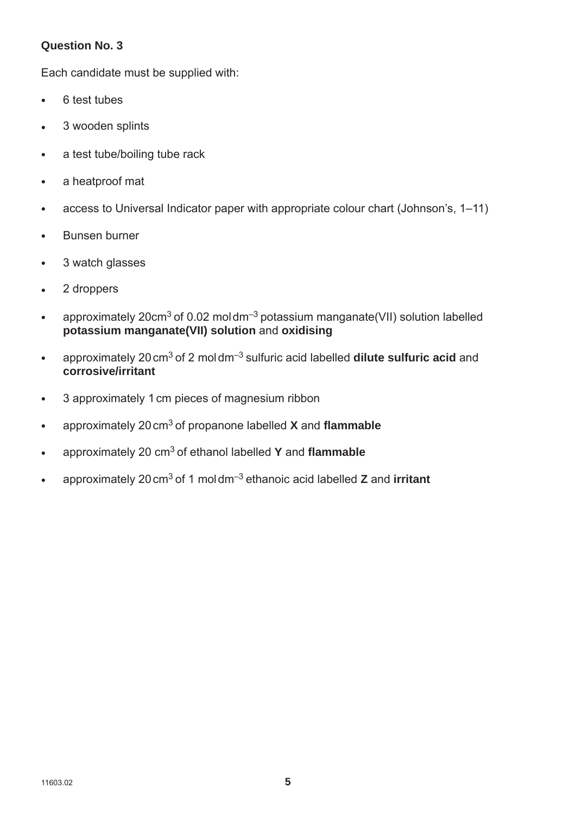#### **Question No. 3**

Each candidate must be supplied with:

- $\cdot$  6 test tubes
- 3 wooden splints
- a test tube/boiling tube rack
- a heatproof mat
- access to Universal Indicator paper with appropriate colour chart (Johnson's, 1–11)
- Bunsen burner
- 3 watch glasses
- $\bullet$  2 droppers
- approximately 20 $cm<sup>3</sup>$  of 0.02 moldm<sup>-3</sup> potassium manganate(VII) solution labelled **potassium manganate(VII) solution** and **oxidising**
- approximately 20 cm3 of 2 mol dm–3 sulfuric acid labelled **dilute sulfuric acid** and **corrosive/irritant**
- 3 approximately 1 cm pieces of magnesium ribbon
- approximately 20 cm3 of propanone labelled **X** and **flammable**
- approximately 20 cm3 of ethanol labelled **Y** and **flammable**
- approximately 20 cm3 of 1 mol dm–3 ethanoic acid labelled **Z** and **irritant**